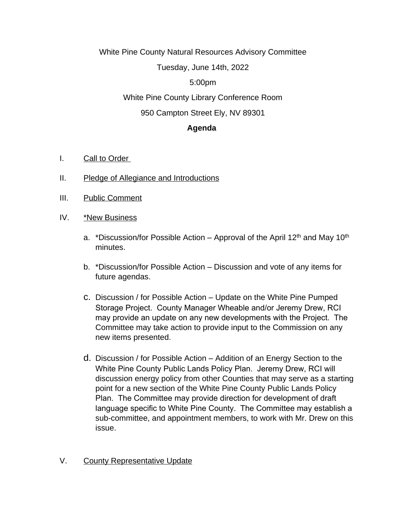White Pine County Natural Resources Advisory Committee

Tuesday, June 14th, 2022

### 5:00pm

## White Pine County Library Conference Room

## 950 Campton Street Ely, NV 89301

#### **Agenda**

- I. Call to Order
- II. Pledge of Allegiance and Introductions
- III. Public Comment
- IV. \*New Business
	- a. \*Discussion/for Possible Action Approval of the April 12<sup>th</sup> and May 10<sup>th</sup> minutes.
	- b. \*Discussion/for Possible Action Discussion and vote of any items for future agendas.
	- c. Discussion / for Possible Action Update on the White Pine Pumped Storage Project. County Manager Wheable and/or Jeremy Drew, RCI may provide an update on any new developments with the Project. The Committee may take action to provide input to the Commission on any new items presented.
	- d. Discussion / for Possible Action Addition of an Energy Section to the White Pine County Public Lands Policy Plan. Jeremy Drew, RCI will discussion energy policy from other Counties that may serve as a starting point for a new section of the White Pine County Public Lands Policy Plan. The Committee may provide direction for development of draft language specific to White Pine County. The Committee may establish a sub-committee, and appointment members, to work with Mr. Drew on this issue.

# V. County Representative Update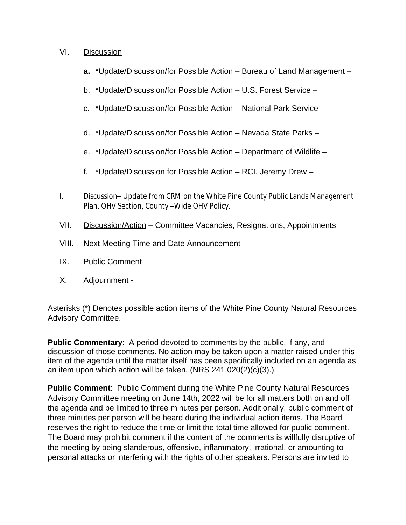#### VI. Discussion

- **a.** \*Update/Discussion/for Possible Action Bureau of Land Management –
- b. \*Update/Discussion/for Possible Action U.S. Forest Service –
- c. \*Update/Discussion/for Possible Action National Park Service –
- d. \*Update/Discussion/for Possible Action Nevada State Parks –
- e. \*Update/Discussion/for Possible Action Department of Wildlife –
- f. \*Update/Discussion for Possible Action RCI, Jeremy Drew –
- I. Discussion– Update from CRM on the White Pine County Public Lands Management Plan, OHV Section, County –Wide OHV Policy.
- VII. Discussion/Action Committee Vacancies, Resignations, Appointments
- VIII. Next Meeting Time and Date Announcement -
- IX. Public Comment -
- X. Adjournment -

Asterisks (\*) Denotes possible action items of the White Pine County Natural Resources Advisory Committee.

**Public Commentary**: A period devoted to comments by the public, if any, and discussion of those comments. No action may be taken upon a matter raised under this item of the agenda until the matter itself has been specifically included on an agenda as an item upon which action will be taken. (NRS 241.020(2)(c)(3).)

**Public Comment**: Public Comment during the White Pine County Natural Resources Advisory Committee meeting on June 14th, 2022 will be for all matters both on and off the agenda and be limited to three minutes per person. Additionally, public comment of three minutes per person will be heard during the individual action items. The Board reserves the right to reduce the time or limit the total time allowed for public comment. The Board may prohibit comment if the content of the comments is willfully disruptive of the meeting by being slanderous, offensive, inflammatory, irrational, or amounting to personal attacks or interfering with the rights of other speakers. Persons are invited to